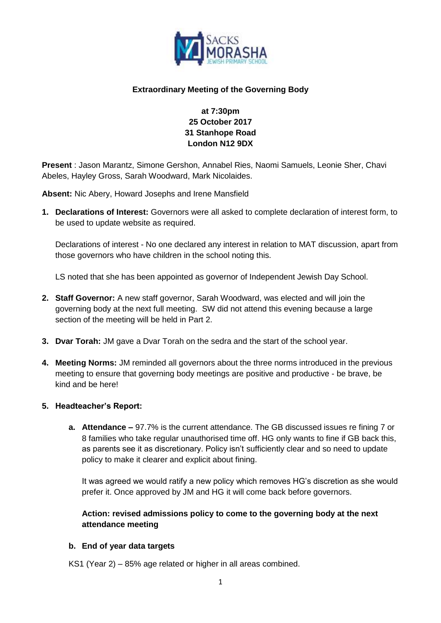

### **Extraordinary Meeting of the Governing Body**

# **at 7:30pm 25 October 2017 31 Stanhope Road London N12 9DX**

**Present** : Jason Marantz, Simone Gershon, Annabel Ries, Naomi Samuels, Leonie Sher, Chavi Abeles, Hayley Gross, Sarah Woodward, Mark Nicolaides.

**Absent:** Nic Abery, Howard Josephs and Irene Mansfield

**1. Declarations of Interest:** Governors were all asked to complete declaration of interest form, to be used to update website as required.

Declarations of interest - No one declared any interest in relation to MAT discussion, apart from those governors who have children in the school noting this.

LS noted that she has been appointed as governor of Independent Jewish Day School.

- **2. Staff Governor:** A new staff governor, Sarah Woodward, was elected and will join the governing body at the next full meeting. SW did not attend this evening because a large section of the meeting will be held in Part 2.
- **3. Dvar Torah:** JM gave a Dvar Torah on the sedra and the start of the school year.
- **4. Meeting Norms:** JM reminded all governors about the three norms introduced in the previous meeting to ensure that governing body meetings are positive and productive - be brave, be kind and be here!

#### **5. Headteacher's Report:**

**a. Attendance –** 97.7% is the current attendance. The GB discussed issues re fining 7 or 8 families who take regular unauthorised time off. HG only wants to fine if GB back this, as parents see it as discretionary. Policy isn't sufficiently clear and so need to update policy to make it clearer and explicit about fining.

It was agreed we would ratify a new policy which removes HG's discretion as she would prefer it. Once approved by JM and HG it will come back before governors.

## **Action: revised admissions policy to come to the governing body at the next attendance meeting**

#### **b. End of year data targets**

KS1 (Year 2) – 85% age related or higher in all areas combined.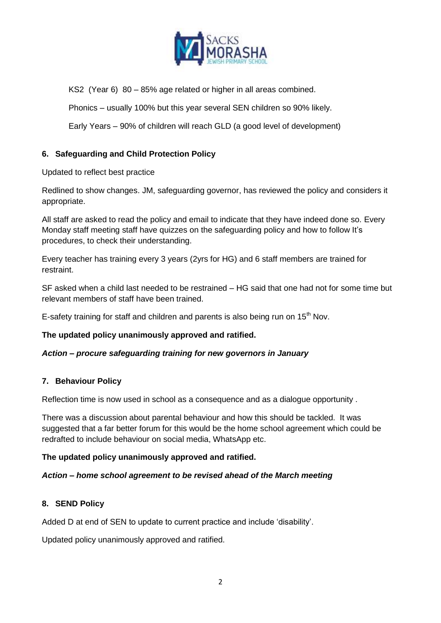

KS2 (Year 6) 80 – 85% age related or higher in all areas combined.

Phonics – usually 100% but this year several SEN children so 90% likely.

Early Years – 90% of children will reach GLD (a good level of development)

## **6. Safeguarding and Child Protection Policy**

Updated to reflect best practice

Redlined to show changes. JM, safeguarding governor, has reviewed the policy and considers it appropriate.

All staff are asked to read the policy and email to indicate that they have indeed done so. Every Monday staff meeting staff have quizzes on the safeguarding policy and how to follow It's procedures, to check their understanding.

Every teacher has training every 3 years (2yrs for HG) and 6 staff members are trained for restraint.

SF asked when a child last needed to be restrained – HG said that one had not for some time but relevant members of staff have been trained.

E-safety training for staff and children and parents is also being run on  $15<sup>th</sup>$  Nov.

## **The updated policy unanimously approved and ratified.**

## *Action – procure safeguarding training for new governors in January*

#### **7. Behaviour Policy**

Reflection time is now used in school as a consequence and as a dialogue opportunity .

There was a discussion about parental behaviour and how this should be tackled. It was suggested that a far better forum for this would be the home school agreement which could be redrafted to include behaviour on social media, WhatsApp etc.

## **The updated policy unanimously approved and ratified.**

## *Action – home school agreement to be revised ahead of the March meeting*

#### **8. SEND Policy**

Added D at end of SEN to update to current practice and include 'disability'.

Updated policy unanimously approved and ratified.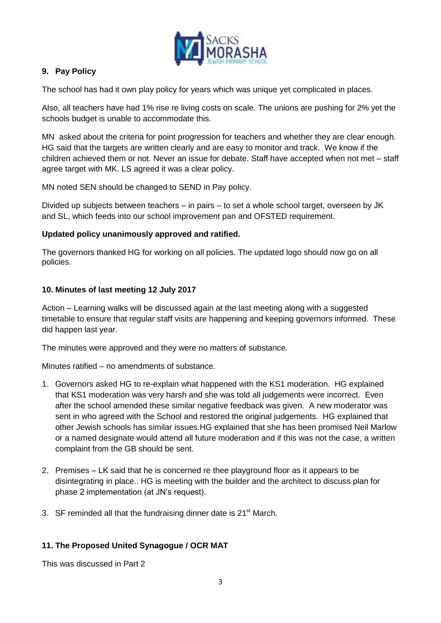

# **9. Pay Policy**

The school has had it own play policy for years which was unique yet complicated in places.

Also, all teachers have had 1% rise re living costs on scale. The unions are pushing for 2% yet the schools budget is unable to accommodate this.

MN asked about the criteria for point progression for teachers and whether they are clear enough. HG said that the targets are written clearly and are easy to monitor and track. We know if the children achieved them or not. Never an issue for debate. Staff have accepted when not met – staff agree target with MK. LS agreed it was a clear policy.

MN noted SEN should be changed to SEND in Pay policy.

Divided up subjects between teachers – in pairs – to set a whole school target, overseen by JK and SL, which feeds into our school improvement pan and OFSTED requirement.

### **Updated policy unanimously approved and ratified.**

The governors thanked HG for working on all policies. The updated logo should now go on all policies.

### **10. Minutes of last meeting 12 July 2017**

Action – Learning walks will be discussed again at the last meeting along with a suggested timetable to ensure that regular staff visits are happening and keeping governors informed. These did happen last year.

The minutes were approved and they were no matters of substance.

Minutes ratified – no amendments of substance.

- 1. Governors asked HG to re-explain what happened with the KS1 moderation. HG explained that KS1 moderation was very harsh and she was told all judgements were incorrect. Even after the school amended these similar negative feedback was given. A new moderator was sent in who agreed with the School and restored the original judgements. HG explained that other Jewish schools has similar issues.HG explained that she has been promised Neil Marlow or a named designate would attend all future moderation and if this was not the case, a written complaint from the GB should be sent.
- 2. Premises LK said that he is concerned re thee playground floor as it appears to be disintegrating in place.. HG is meeting with the builder and the architect to discuss plan for phase 2 implementation (at JN's request).
- 3. SF reminded all that the fundraising dinner date is  $21<sup>st</sup>$  March.

## **11. The Proposed United Synagogue / OCR MAT**

This was discussed in Part 2